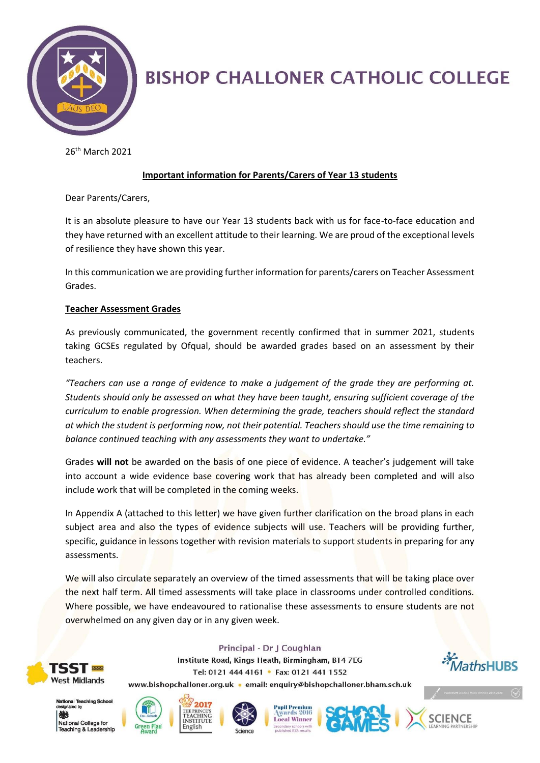

# **BISHOP CHALLONER CATHOLIC COLLEGE**

26 th March 2021

## **Important information for Parents/Carers of Year 13 students**

Dear Parents/Carers,

It is an absolute pleasure to have our Year 13 students back with us for face-to-face education and they have returned with an excellent attitude to their learning. We are proud of the exceptional levels of resilience they have shown this year.

In this communication we are providing further information for parents/carers on Teacher Assessment Grades.

### **Teacher Assessment Grades**

As previously communicated, the government recently confirmed that in summer 2021, students taking GCSEs regulated by Ofqual, should be awarded grades based on an assessment by their teachers.

*"Teachers can use a range of evidence to make a judgement of the grade they are performing at. Students should only be assessed on what they have been taught, ensuring sufficient coverage of the curriculum to enable progression. When determining the grade, teachers should reflect the standard at which the student is performing now, not their potential. Teachers should use the time remaining to balance continued teaching with any assessments they want to undertake."*

Grades **will not** be awarded on the basis of one piece of evidence. A teacher's judgement will take into account a wide evidence base covering work that has already been completed and will also include work that will be completed in the coming weeks.

In Appendix A (attached to this letter) we have given further clarification on the broad plans in each subject area and also the types of evidence subjects will use. Teachers will be providing further, specific, guidance in lessons together with revision materials to support students in preparing for any assessments.

We will also circulate separately an overview of the timed assessments that will be taking place over the next half term. All timed assessments will take place in classrooms under controlled conditions. Where possible, we have endeavoured to rationalise these assessments to ensure students are not overwhelmed on any given day or in any given week.



Principal - Dr J Coughlan Institute Road, Kings Heath, Birmingham, B14 7EG Tel: 0121 444 4161 • Fax: 0121 441 1552 www.bishopchalloner.org.uk · email: enquiry@bishopchalloner.bham.sch.uk







National College for Teaching & Leadership